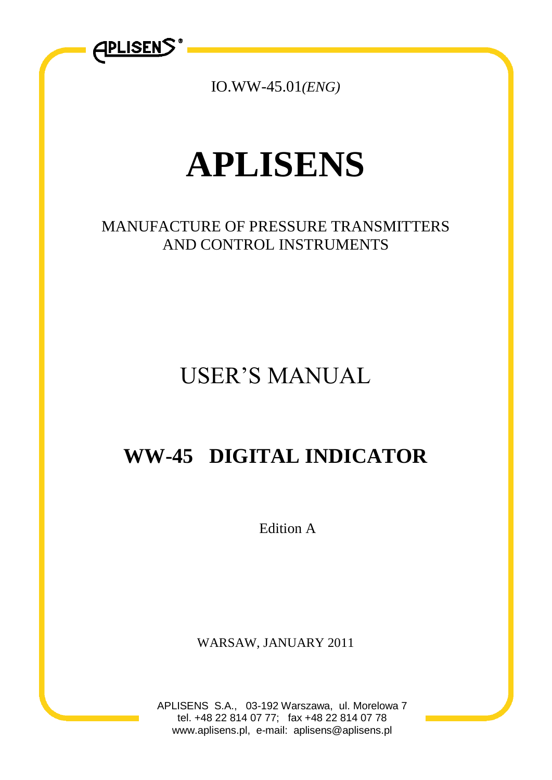

IO.WW-45.01*(ENG)*

# **APLISENS**

# MANUFACTURE OF PRESSURE TRANSMITTERS AND CONTROL INSTRUMENTS

# USER'S MANUAL

# **WW-45 DIGITAL INDICATOR**

Edition A

WARSAW, JANUARY 2011

APLISENS S.A., 03-192 Warszawa, ul. Morelowa 7 tel. +48 22 814 07 77; fax +48 22 814 07 78 www.aplisens.pl, e-mail: aplisens@aplisens.pl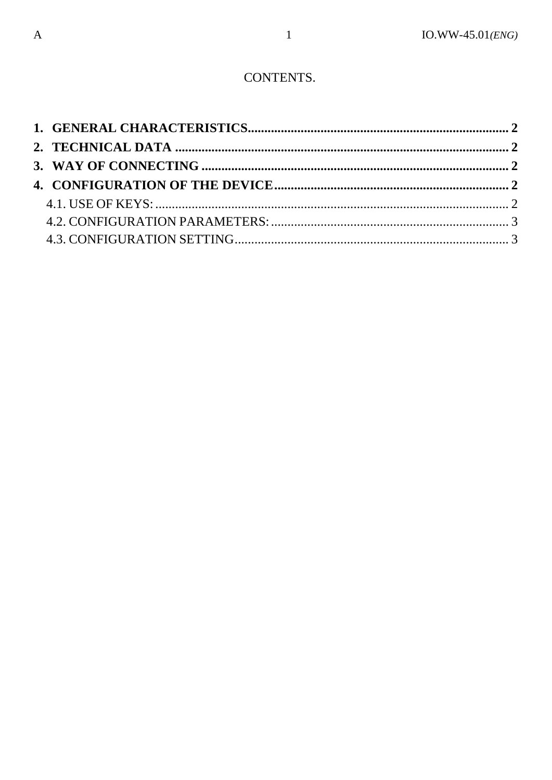#### CONTENTS.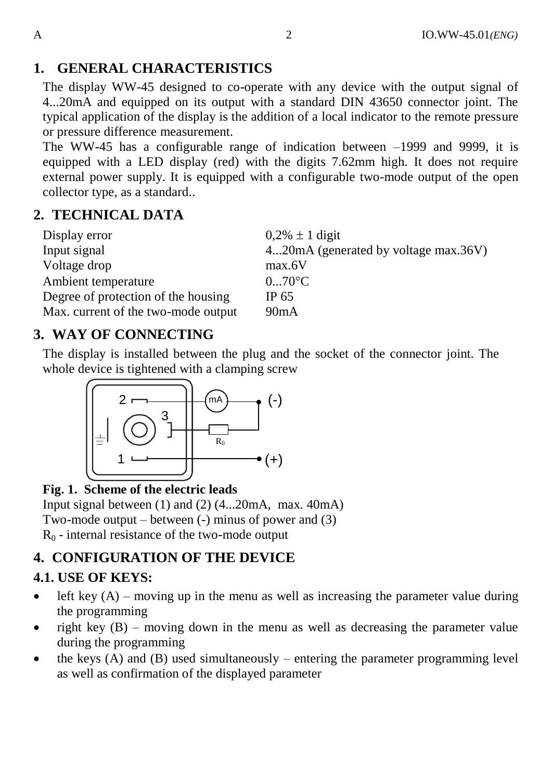## <span id="page-2-0"></span>**1. GENERAL CHARACTERISTICS**

The display WW-45 designed to co-operate with any device with the output signal of 4...20mA and equipped on its output with a standard DIN 43650 connector joint. The typical application of the display is the addition of a local indicator to the remote pressure or pressure difference measurement.

The WW-45 has a configurable range of indication between –1999 and 9999, it is equipped with a LED display (red) with the digits 7.62mm high. It does not require external power supply. It is equipped with a configurable two-mode output of the open collector type, as a standard..

#### <span id="page-2-1"></span>**2. TECHNICAL DATA**

| Display error                       | $0.2\% \pm 1$ digit                  |
|-------------------------------------|--------------------------------------|
| Input signal                        | 420mA (generated by voltage max.36V) |
| Voltage drop                        | max.6V                               |
| Ambient temperature                 | $070$ <sup>o</sup> C                 |
| Degree of protection of the housing | IP 65                                |
| Max. current of the two-mode output | 90 <sub>m</sub> A                    |

### <span id="page-2-2"></span>**3. WAY OF CONNECTING**

The display is installed between the plug and the socket of the connector joint. The whole device is tightened with a clamping screw



#### **Fig. 1. Scheme of the electric leads**

Input signal between (1) and (2) (4...20mA, max. 40mA) Two-mode output – between (-) minus of power and (3)  $R_0$  - internal resistance of the two-mode output

### <span id="page-2-3"></span>**4. CONFIGURATION OF THE DEVICE**

#### <span id="page-2-4"></span>**4.1. USE OF KEYS:**

- left key  $(A)$  moving up in the menu as well as increasing the parameter value during the programming
- right key  $(B)$  moving down in the menu as well as decreasing the parameter value during the programming
- the keys (A) and (B) used simultaneously entering the parameter programming level as well as confirmation of the displayed parameter